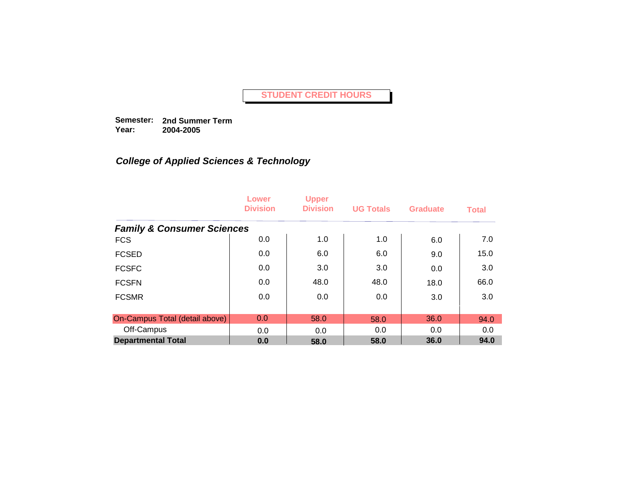**Semester: 2nd Summer Term Year: 2004-2005**

|                                       | Lower<br><b>Division</b> | <b>Upper</b><br><b>Division</b> | <b>UG Totals</b> | <b>Graduate</b> | <b>Total</b> |
|---------------------------------------|--------------------------|---------------------------------|------------------|-----------------|--------------|
| <b>Family &amp; Consumer Sciences</b> |                          |                                 |                  |                 |              |
| <b>FCS</b>                            | 0.0                      | 1.0                             | 1.0              | 6.0             | 7.0          |
| <b>FCSED</b>                          | 0.0                      | 6.0                             | 6.0              | 9.0             | 15.0         |
| <b>FCSFC</b>                          | 0.0                      | 3.0                             | 3.0              | 0.0             | 3.0          |
| <b>FCSFN</b>                          | 0.0                      | 48.0                            | 48.0             | 18.0            | 66.0         |
| <b>FCSMR</b>                          | 0.0                      | 0.0                             | 0.0              | 3.0             | 3.0          |
| On-Campus Total (detail above)        | 0.0                      | 58.0                            | 58.0             | 36.0            | 94.0         |
| Off-Campus                            | 0.0                      | 0.0                             | 0.0              | 0.0             | 0.0          |
| <b>Departmental Total</b>             | 0.0                      | 58.0                            | 58.0             | 36.0            | 94.0         |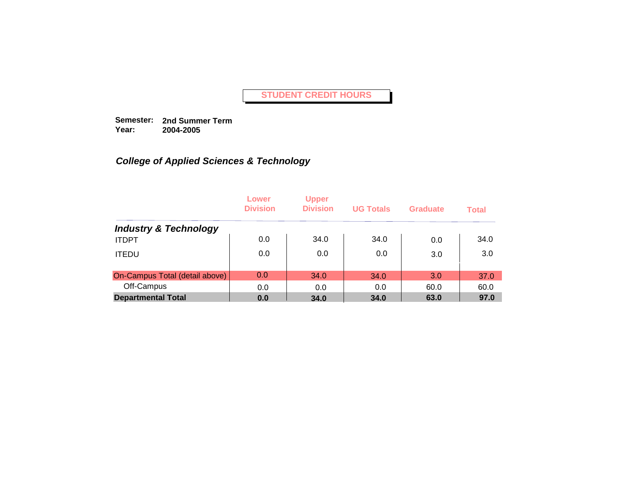**Semester: 2nd Summer Term Year: 2004-2005**

|                                  | Lower<br><b>Division</b> | <b>Upper</b><br><b>Division</b> | <b>UG Totals</b> | Graduate | <b>Total</b> |
|----------------------------------|--------------------------|---------------------------------|------------------|----------|--------------|
| <b>Industry &amp; Technology</b> |                          |                                 |                  |          |              |
| <b>ITDPT</b>                     | 0.0                      | 34.0                            | 34.0             | 0.0      | 34.0         |
| <b>ITEDU</b>                     | 0.0                      | 0.0                             | 0.0              | 3.0      | 3.0          |
| On-Campus Total (detail above)   | 0.0                      | 34.0                            | 34.0             | 3.0      | 37.0         |
| Off-Campus                       | 0.0                      | 0.0                             | 0.0              | 60.0     | 60.0         |
| <b>Departmental Total</b>        | 0.0                      | 34.0                            | 34.0             | 63.0     | 97.0         |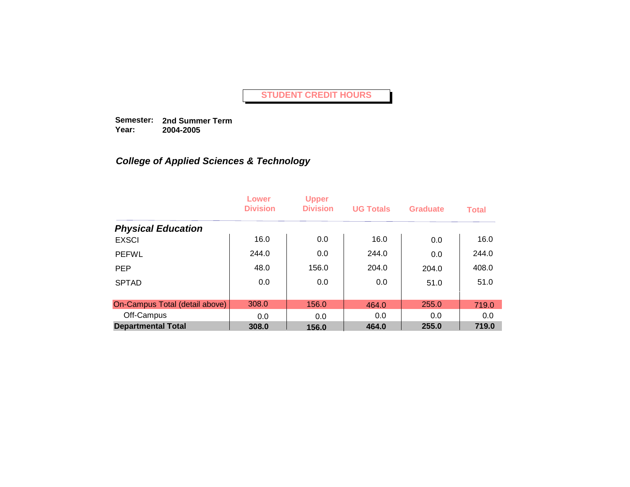**Semester: 2nd Summer Term Year: 2004-2005**

|                                | Lower<br><b>Division</b> | <b>Upper</b><br><b>Division</b> | <b>UG Totals</b> | <b>Graduate</b> | <b>Total</b> |
|--------------------------------|--------------------------|---------------------------------|------------------|-----------------|--------------|
| <b>Physical Education</b>      |                          |                                 |                  |                 |              |
| <b>EXSCI</b>                   | 16.0                     | 0.0                             | 16.0             | 0.0             | 16.0         |
| <b>PEFWL</b>                   | 244.0                    | 0.0                             | 244.0            | 0.0             | 244.0        |
| <b>PEP</b>                     | 48.0                     | 156.0                           | 204.0            | 204.0           | 408.0        |
| <b>SPTAD</b>                   | 0.0                      | 0.0                             | 0.0              | 51.0            | 51.0         |
|                                |                          |                                 |                  |                 |              |
| On-Campus Total (detail above) | 308.0                    | 156.0                           | 464.0            | 255.0           | 719.0        |
| Off-Campus                     | 0.0                      | 0.0                             | 0.0              | 0.0             | 0.0          |
| <b>Departmental Total</b>      | 308.0                    | 156.0                           | 464.0            | 255.0           | 719.0        |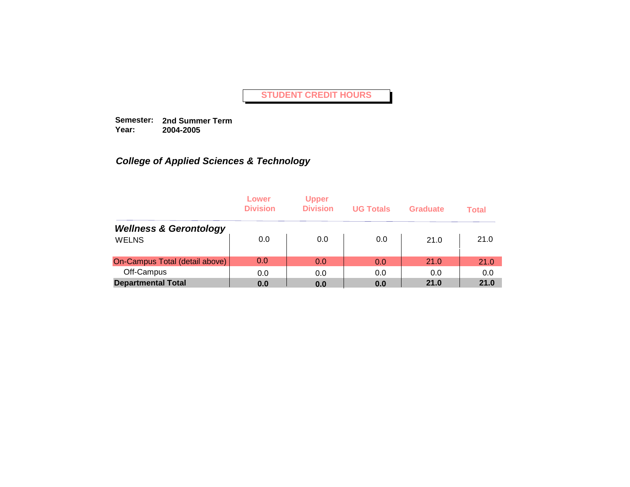**Semester: 2nd Summer Term Year: 2004-2005**

|                                   | Lower<br><b>Division</b> | <b>Upper</b><br><b>Division</b> | <b>UG Totals</b> | Graduate | <b>Total</b> |
|-----------------------------------|--------------------------|---------------------------------|------------------|----------|--------------|
| <b>Wellness &amp; Gerontology</b> |                          |                                 |                  |          |              |
| <b>WELNS</b>                      | 0.0                      | 0.0                             | 0.0              | 21.0     | 21.0         |
| On-Campus Total (detail above)    | 0.0                      | 0.0                             | 0.0              | 21.0     | 21.0         |
| Off-Campus                        | 0.0                      | 0.0                             | 0.0              | 0.0      | 0.0          |
| <b>Departmental Total</b>         | 0.0                      | 0.0                             | 0.0              | 21.0     | 21.0         |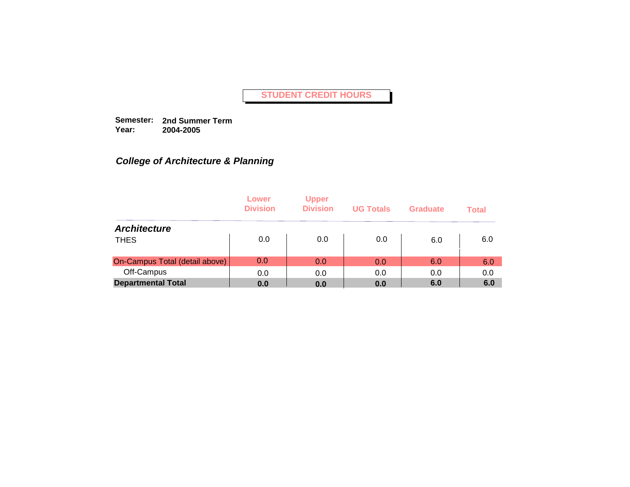**Semester: 2nd Summer Term Year: 2004-2005**

## *College of Architecture & Planning*

|                                | Lower<br><b>Division</b> | <b>Upper</b><br><b>Division</b> | <b>UG Totals</b> | Graduate | <b>Total</b> |
|--------------------------------|--------------------------|---------------------------------|------------------|----------|--------------|
| <b>Architecture</b>            |                          |                                 |                  |          |              |
| <b>THES</b>                    | 0.0                      | 0.0                             | 0.0              | 6.0      | 6.0          |
| On-Campus Total (detail above) | 0.0                      | 0.0                             | 0.0              | 6.0      | 6.0          |
| Off-Campus                     | 0.0                      | 0.0                             | 0.0              | 0.0      | 0.0          |
| <b>Departmental Total</b>      | 0.0                      | 0.0                             | 0.0              | 6.0      | 6.0          |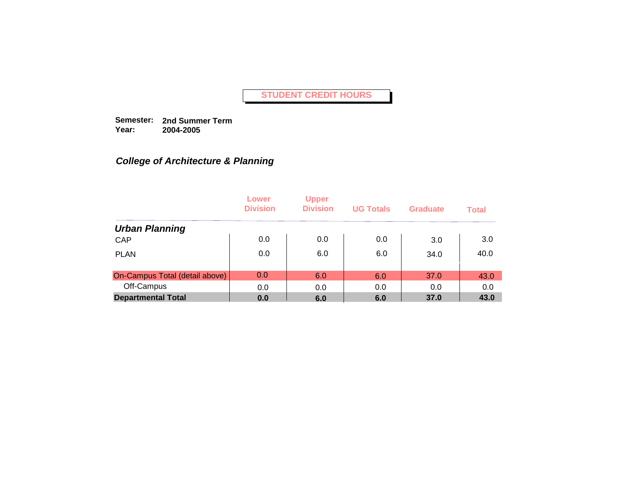**Semester: 2nd Summer Term Year: 2004-2005**

## *College of Architecture & Planning*

|                                | Lower<br><b>Division</b> | <b>Upper</b><br><b>Division</b> | <b>UG Totals</b> | Graduate | <b>Total</b> |
|--------------------------------|--------------------------|---------------------------------|------------------|----------|--------------|
| <b>Urban Planning</b>          |                          |                                 |                  |          |              |
| CAP                            | 0.0                      | 0.0                             | 0.0              | 3.0      | 3.0          |
| <b>PLAN</b>                    | 0.0                      | 6.0                             | 6.0              | 34.0     | 40.0         |
| On-Campus Total (detail above) | 0.0                      | 6.0                             | 6.0              | 37.0     | 43.0         |
| Off-Campus                     | 0.0                      | 0.0                             | 0.0              | 0.0      | 0.0          |
| <b>Departmental Total</b>      | 0.0                      | 6.0                             | 6.0              | 37.0     | 43.0         |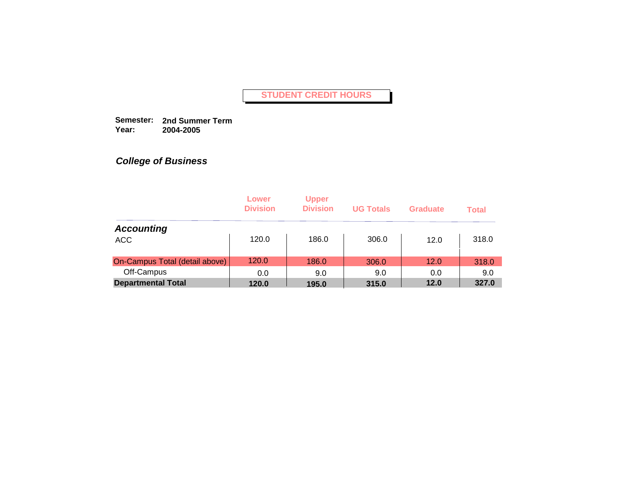**Semester: 2nd Summer Term Year: 2004-2005**

|                                | Lower<br><b>Division</b> | <b>Upper</b><br><b>Division</b> | <b>UG Totals</b> | <b>Graduate</b> | <b>Total</b> |
|--------------------------------|--------------------------|---------------------------------|------------------|-----------------|--------------|
| <b>Accounting</b>              |                          |                                 |                  |                 |              |
| <b>ACC</b>                     | 120.0                    | 186.0                           | 306.0            | 12.0            | 318.0        |
| On-Campus Total (detail above) | 120.0                    | 186.0                           | 306.0            | 12.0            | 318.0        |
| Off-Campus                     | 0.0                      | 9.0                             | 9.0              | 0.0             | 9.0          |
| <b>Departmental Total</b>      | 120.0                    | 195.0                           | 315.0            | 12.0            | 327.0        |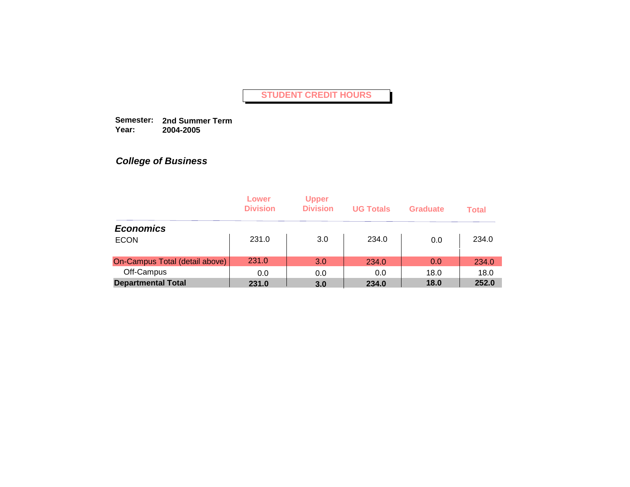**Semester: 2nd Summer Term Year: 2004-2005**

|                                | Lower<br><b>Division</b> | <b>Upper</b><br><b>Division</b> | <b>UG Totals</b> | <b>Graduate</b> | <b>Total</b> |
|--------------------------------|--------------------------|---------------------------------|------------------|-----------------|--------------|
| <b>Economics</b>               |                          |                                 |                  |                 |              |
| <b>ECON</b>                    | 231.0                    | 3.0                             | 234.0            | 0.0             | 234.0        |
| On-Campus Total (detail above) | 231.0                    | 3.0                             | 234.0            | 0.0             | 234.0        |
| Off-Campus                     | 0.0                      | 0.0                             | 0.0              | 18.0            | 18.0         |
| <b>Departmental Total</b>      | 231.0                    | 3.0                             | 234.0            | 18.0            | 252.0        |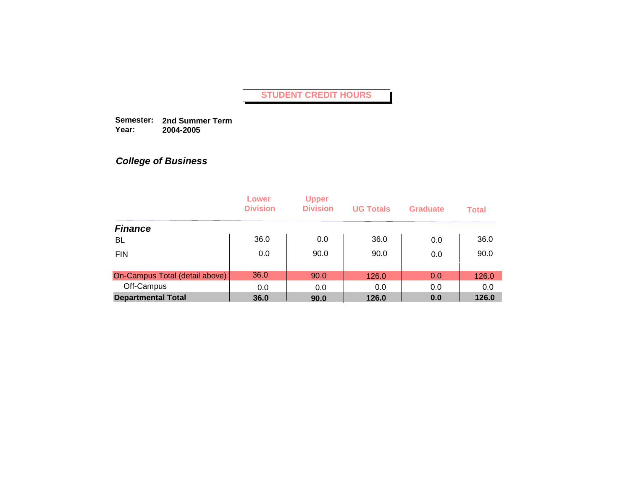**Semester: 2nd Summer Term Year: 2004-2005**

|                                | Lower<br><b>Division</b> | <b>Upper</b><br><b>Division</b> | <b>UG Totals</b> | <b>Graduate</b> | <b>Total</b> |
|--------------------------------|--------------------------|---------------------------------|------------------|-----------------|--------------|
| <b>Finance</b>                 |                          |                                 |                  |                 |              |
| BL                             | 36.0                     | 0.0                             | 36.0             | 0.0             | 36.0         |
| <b>FIN</b>                     | 0.0                      | 90.0                            | 90.0             | 0.0             | 90.0         |
| On-Campus Total (detail above) | 36.0                     | 90.0                            | 126.0            | 0.0             | 126.0        |
| Off-Campus                     | 0.0                      | 0.0                             | 0.0              | 0.0             | 0.0          |
| <b>Departmental Total</b>      | 36.0                     | 90.0                            | 126.0            | 0.0             | 126.0        |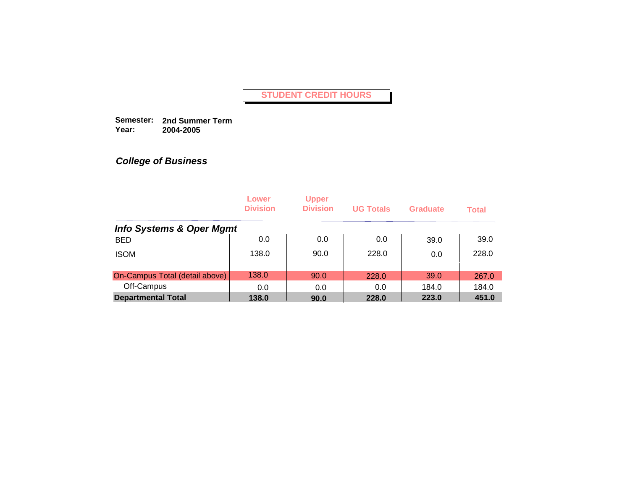**Semester: 2nd Summer Term Year: 2004-2005**

|                                     | Lower<br><b>Division</b> | <b>Upper</b><br><b>Division</b> | <b>UG Totals</b> | <b>Graduate</b> | <b>Total</b> |
|-------------------------------------|--------------------------|---------------------------------|------------------|-----------------|--------------|
| <b>Info Systems &amp; Oper Mgmt</b> |                          |                                 |                  |                 |              |
| <b>BED</b>                          | 0.0                      | 0.0                             | 0.0              | 39.0            | 39.0         |
| <b>ISOM</b>                         | 138.0                    | 90.0                            | 228.0            | 0.0             | 228.0        |
| On-Campus Total (detail above)      | 138.0                    | 90.0                            | 228.0            | 39.0            | 267.0        |
| Off-Campus                          | 0.0                      | 0.0                             | 0.0              | 184.0           | 184.0        |
| <b>Departmental Total</b>           | 138.0                    | 90.0                            | 228.0            | 223.0           | 451.0        |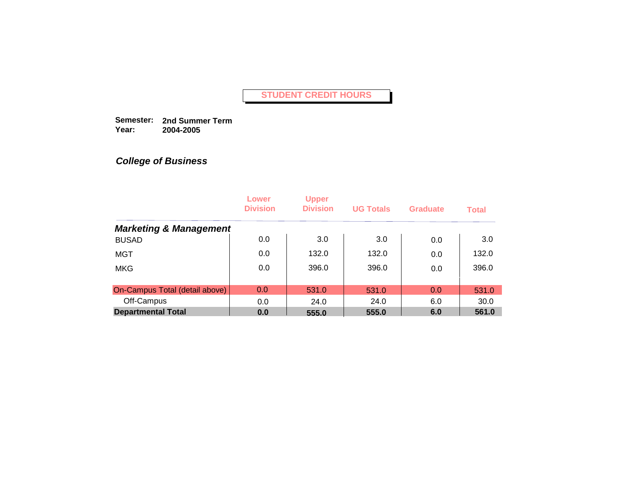**Semester: 2nd Summer Term Year: 2004-2005**

|                                   | Lower<br><b>Division</b> | <b>Upper</b><br><b>Division</b> | <b>UG Totals</b> | Graduate | <b>Total</b> |
|-----------------------------------|--------------------------|---------------------------------|------------------|----------|--------------|
| <b>Marketing &amp; Management</b> |                          |                                 |                  |          |              |
| <b>BUSAD</b>                      | 0.0                      | 3.0                             | 3.0              | 0.0      | 3.0          |
| <b>MGT</b>                        | 0.0                      | 132.0                           | 132.0            | 0.0      | 132.0        |
| <b>MKG</b>                        | 0.0                      | 396.0                           | 396.0            | 0.0      | 396.0        |
|                                   |                          |                                 |                  |          |              |
| On-Campus Total (detail above)    | 0.0                      | 531.0                           | 531.0            | 0.0      | 531.0        |
| Off-Campus                        | 0.0                      | 24.0                            | 24.0             | 6.0      | 30.0         |
| <b>Departmental Total</b>         | 0.0                      | 555.0                           | 555.0            | 6.0      | 561.0        |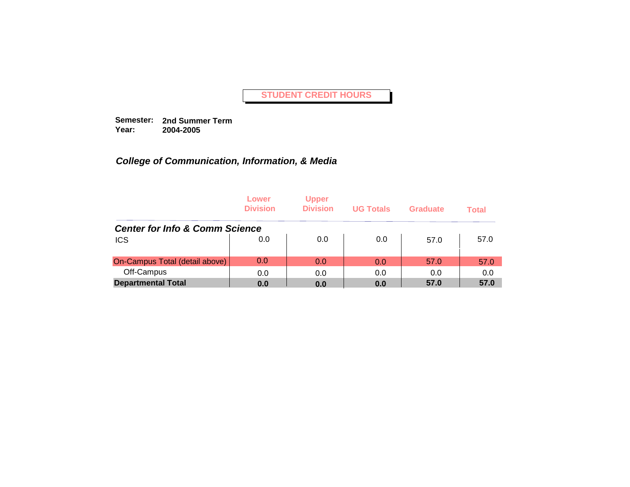**Semester: 2nd Summer Term Year: 2004-2005**

|                                           | Lower<br><b>Division</b> | <b>Upper</b><br><b>Division</b> | <b>UG Totals</b> | Graduate | <b>Total</b> |
|-------------------------------------------|--------------------------|---------------------------------|------------------|----------|--------------|
| <b>Center for Info &amp; Comm Science</b> |                          |                                 |                  |          |              |
| <b>ICS</b>                                | 0.0                      | 0.0                             | 0.0              | 57.0     | 57.0         |
| On-Campus Total (detail above)            | 0.0                      | 0.0                             | 0.0              | 57.0     | 57.0         |
| Off-Campus                                | 0.0                      | 0.0                             | 0.0              | 0.0      | 0.0          |
| <b>Departmental Total</b>                 | 0.0                      | 0.0                             | 0.0              | 57.0     | 57.0         |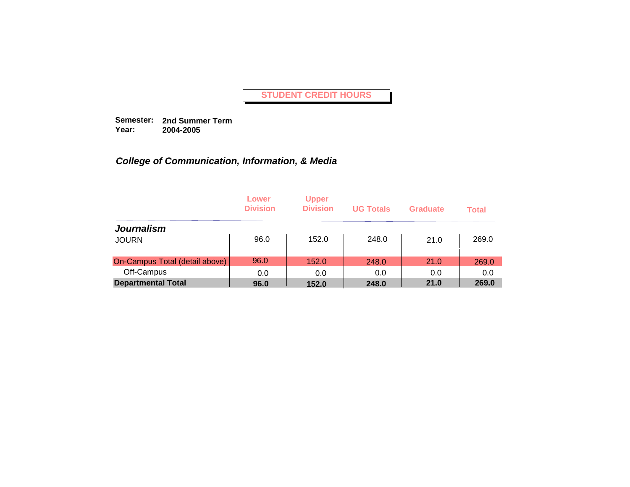**Semester: 2nd Summer Term Year: 2004-2005**

|                                | Lower<br><b>Division</b> | <b>Upper</b><br><b>Division</b> | <b>UG Totals</b> | Graduate | <b>Total</b> |
|--------------------------------|--------------------------|---------------------------------|------------------|----------|--------------|
| <b>Journalism</b>              |                          |                                 |                  |          |              |
| <b>JOURN</b>                   | 96.0                     | 152.0                           | 248.0            | 21.0     | 269.0        |
| On-Campus Total (detail above) | 96.0                     | 152.0                           | 248.0            | 21.0     | 269.0        |
| Off-Campus                     | 0.0                      | 0.0                             | 0.0              | 0.0      | 0.0          |
| <b>Departmental Total</b>      | 96.0                     | 152.0                           | 248.0            | 21.0     | 269.0        |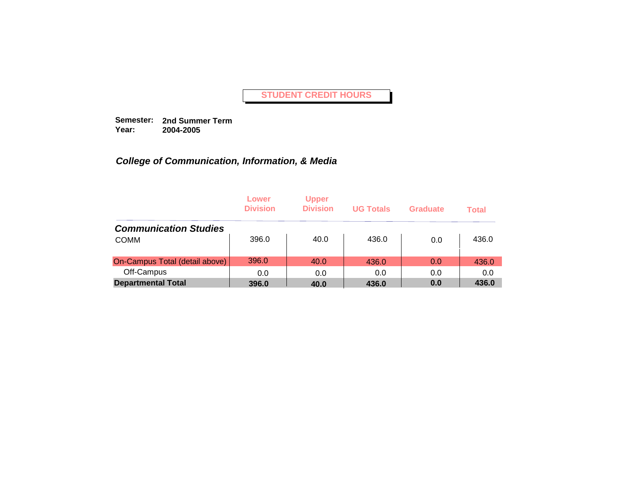**Semester: 2nd Summer Term Year: 2004-2005**

|                                | Lower<br><b>Division</b> | <b>Upper</b><br><b>Division</b> | <b>UG Totals</b> | Graduate | <b>Total</b> |
|--------------------------------|--------------------------|---------------------------------|------------------|----------|--------------|
| <b>Communication Studies</b>   |                          |                                 |                  |          |              |
| <b>COMM</b>                    | 396.0                    | 40.0                            | 436.0            | 0.0      | 436.0        |
| On-Campus Total (detail above) | 396.0                    | 40.0                            | 436.0            | 0.0      | 436.0        |
| Off-Campus                     | 0.0                      | 0.0                             | 0.0              | 0.0      | 0.0          |
| <b>Departmental Total</b>      | 396.0                    | 40.0                            | 436.0            | 0.0      | 436.0        |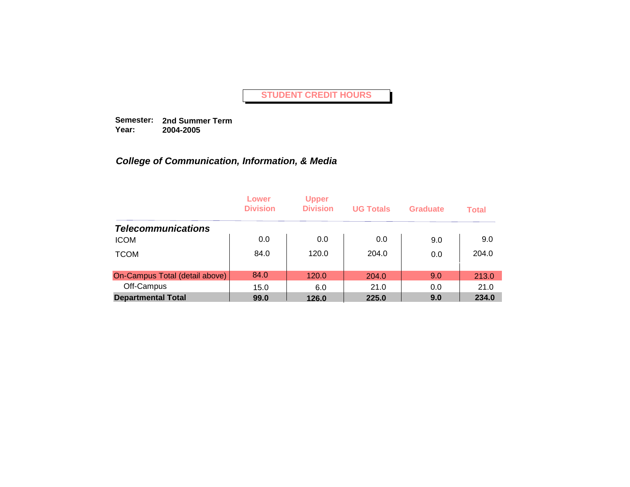**Semester: 2nd Summer Term Year: 2004-2005**

|                                | Lower<br><b>Division</b> | <b>Upper</b><br><b>Division</b> | <b>UG Totals</b> | Graduate | <b>Total</b> |
|--------------------------------|--------------------------|---------------------------------|------------------|----------|--------------|
| <b>Telecommunications</b>      |                          |                                 |                  |          |              |
| <b>ICOM</b>                    | 0.0                      | 0.0                             | 0.0              | 9.0      | 9.0          |
| <b>TCOM</b>                    | 84.0                     | 120.0                           | 204.0            | 0.0      | 204.0        |
| On-Campus Total (detail above) | 84.0                     | 120.0                           | 204.0            | 9.0      | 213.0        |
| Off-Campus                     | 15.0                     | 6.0                             | 21.0             | 0.0      | 21.0         |
| <b>Departmental Total</b>      | 99.0                     | 126.0                           | 225.0            | 9.0      | 234.0        |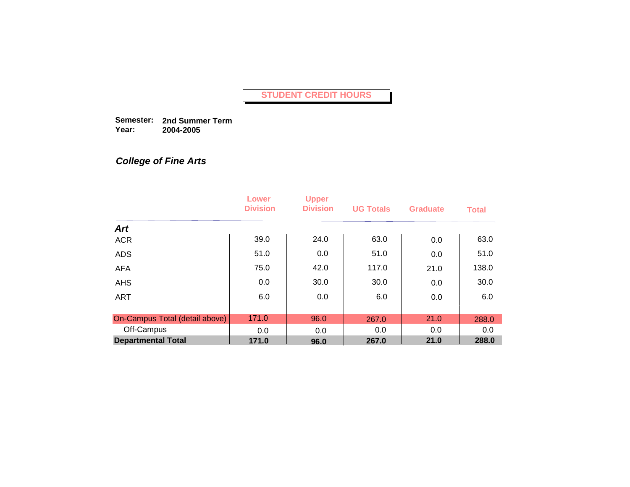**Semester: 2nd Summer Term Year: 2004-2005**

## *College of Fine Arts*

|                                | Lower<br><b>Division</b> | <b>Upper</b><br><b>Division</b> | <b>UG Totals</b> | <b>Graduate</b> | <b>Total</b> |
|--------------------------------|--------------------------|---------------------------------|------------------|-----------------|--------------|
| <b>Art</b>                     |                          |                                 |                  |                 |              |
| <b>ACR</b>                     | 39.0                     | 24.0                            | 63.0             | 0.0             | 63.0         |
| <b>ADS</b>                     | 51.0                     | 0.0                             | 51.0             | 0.0             | 51.0         |
| <b>AFA</b>                     | 75.0                     | 42.0                            | 117.0            | 21.0            | 138.0        |
| <b>AHS</b>                     | 0.0                      | 30.0                            | 30.0             | 0.0             | 30.0         |
| <b>ART</b>                     | 6.0                      | 0.0                             | 6.0              | 0.0             | 6.0          |
|                                |                          |                                 |                  |                 |              |
| On-Campus Total (detail above) | 171.0                    | 96.0                            | 267.0            | 21.0            | 288.0        |
| Off-Campus                     | 0.0                      | 0.0                             | 0.0              | 0.0             | 0.0          |
| <b>Departmental Total</b>      | 171.0                    | 96.0                            | 267.0            | 21.0            | 288.0        |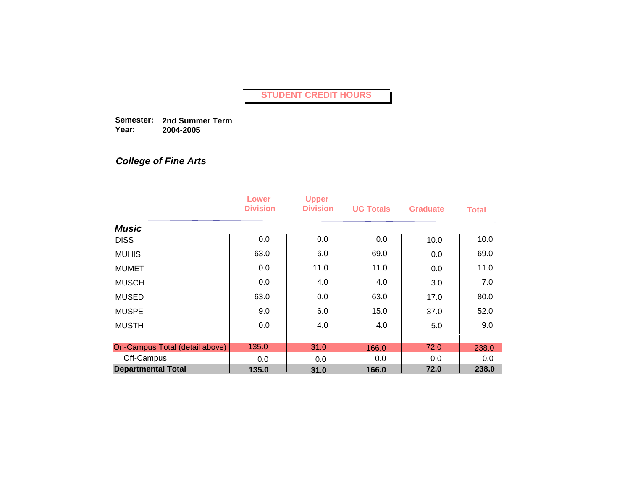**Semester: 2nd Summer Term Year: 2004-2005**

# *College of Fine Arts*

|                                | Lower<br><b>Division</b> | <b>Upper</b><br><b>Division</b> | <b>UG Totals</b> | <b>Graduate</b> | <b>Total</b> |
|--------------------------------|--------------------------|---------------------------------|------------------|-----------------|--------------|
| <b>Music</b>                   |                          |                                 |                  |                 |              |
| <b>DISS</b>                    | 0.0                      | 0.0                             | 0.0              | 10.0            | 10.0         |
| <b>MUHIS</b>                   | 63.0                     | 6.0                             | 69.0             | 0.0             | 69.0         |
| <b>MUMET</b>                   | 0.0                      | 11.0                            | 11.0             | 0.0             | 11.0         |
| <b>MUSCH</b>                   | 0.0                      | 4.0                             | 4.0              | 3.0             | 7.0          |
| <b>MUSED</b>                   | 63.0                     | 0.0                             | 63.0             | 17.0            | 80.0         |
| <b>MUSPE</b>                   | 9.0                      | 6.0                             | 15.0             | 37.0            | 52.0         |
| <b>MUSTH</b>                   | 0.0                      | 4.0                             | 4.0              | 5.0             | 9.0          |
|                                |                          |                                 |                  |                 |              |
| On-Campus Total (detail above) | 135.0                    | 31.0                            | 166.0            | 72.0            | 238.0        |
| Off-Campus                     | 0.0                      | 0.0                             | 0.0              | 0.0             | 0.0          |
| <b>Departmental Total</b>      | 135.0                    | 31.0                            | 166.0            | 72.0            | 238.0        |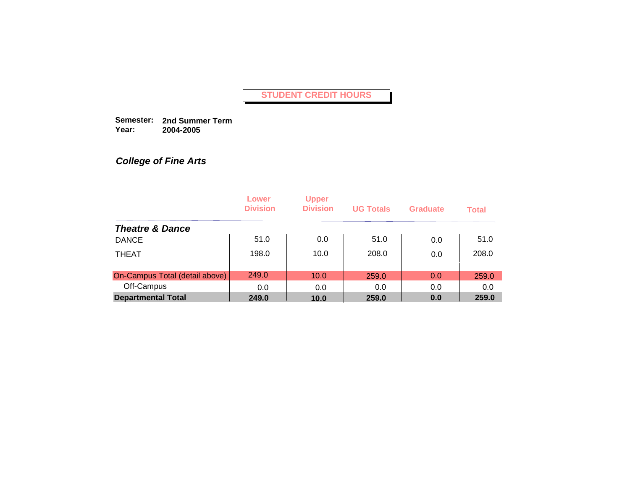**Semester: 2nd Summer Term Year: 2004-2005**

*College of Fine Arts*

|                                | Lower<br><b>Division</b> | <b>Upper</b><br><b>Division</b> | <b>UG Totals</b> | <b>Graduate</b> | <b>Total</b> |
|--------------------------------|--------------------------|---------------------------------|------------------|-----------------|--------------|
| <b>Theatre &amp; Dance</b>     |                          |                                 |                  |                 |              |
| <b>DANCE</b>                   | 51.0                     | 0.0                             | 51.0             | 0.0             | 51.0         |
| <b>THEAT</b>                   | 198.0                    | 10.0                            | 208.0            | 0.0             | 208.0        |
| On-Campus Total (detail above) | 249.0                    | 10.0                            | 259.0            | 0.0             | 259.0        |
| Off-Campus                     | 0.0                      | 0.0                             | 0.0              | 0.0             | 0.0          |
| <b>Departmental Total</b>      | 249.0                    | 10.0                            | 259.0            | 0.0             | 259.0        |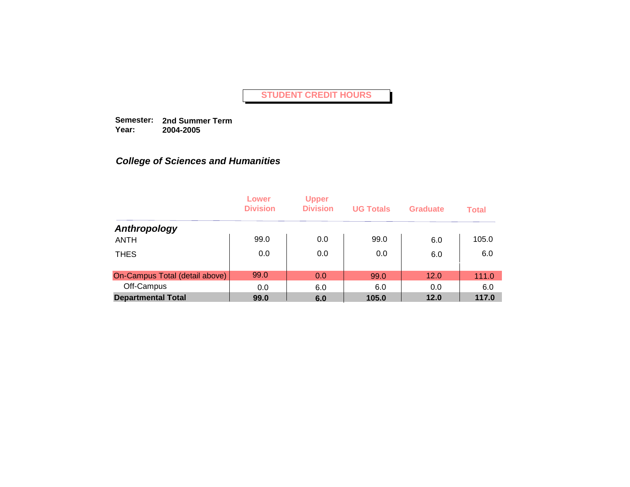**Semester: 2nd Summer Term Year: 2004-2005**

|                                | Lower<br><b>Division</b> | <b>Upper</b><br><b>Division</b> | <b>UG Totals</b> | <b>Graduate</b> | <b>Total</b> |
|--------------------------------|--------------------------|---------------------------------|------------------|-----------------|--------------|
| Anthropology                   |                          |                                 |                  |                 |              |
| <b>ANTH</b>                    | 99.0                     | 0.0                             | 99.0             | 6.0             | 105.0        |
| <b>THES</b>                    | 0.0                      | 0.0                             | 0.0              | 6.0             | 6.0          |
| On-Campus Total (detail above) | 99.0                     | 0.0                             | 99.0             | 12.0            | 111.0        |
| Off-Campus                     | 0.0                      | 6.0                             | 6.0              | 0.0             | 6.0          |
| <b>Departmental Total</b>      | 99.0                     | 6.0                             | 105.0            | 12.0            | 117.0        |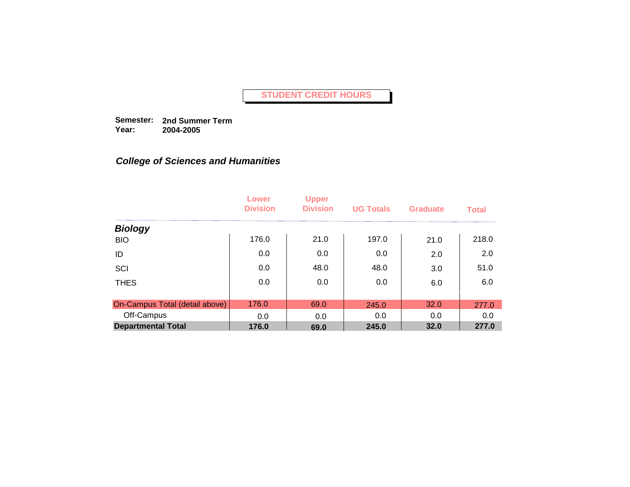**Semester: 2nd Summer Term Year: 2004-2005**

|                                | Lower<br><b>Division</b> | <b>Upper</b><br><b>Division</b> | <b>UG Totals</b> | <b>Graduate</b> | <b>Total</b> |
|--------------------------------|--------------------------|---------------------------------|------------------|-----------------|--------------|
| <b>Biology</b>                 |                          |                                 |                  |                 |              |
| <b>BIO</b>                     | 176.0                    | 21.0                            | 197.0            | 21.0            | 218.0        |
| ID                             | 0.0                      | 0.0                             | 0.0              | 2.0             | 2.0          |
| SCI                            | 0.0                      | 48.0                            | 48.0             | 3.0             | 51.0         |
| <b>THES</b>                    | 0.0                      | 0.0                             | 0.0              | 6.0             | 6.0          |
|                                |                          |                                 |                  |                 |              |
| On-Campus Total (detail above) | 176.0                    | 69.0                            | 245.0            | 32.0            | 277.0        |
| Off-Campus                     | 0.0                      | 0.0                             | 0.0              | 0.0             | 0.0          |
| <b>Departmental Total</b>      | 176.0                    | 69.0                            | 245.0            | 32.0            | 277.0        |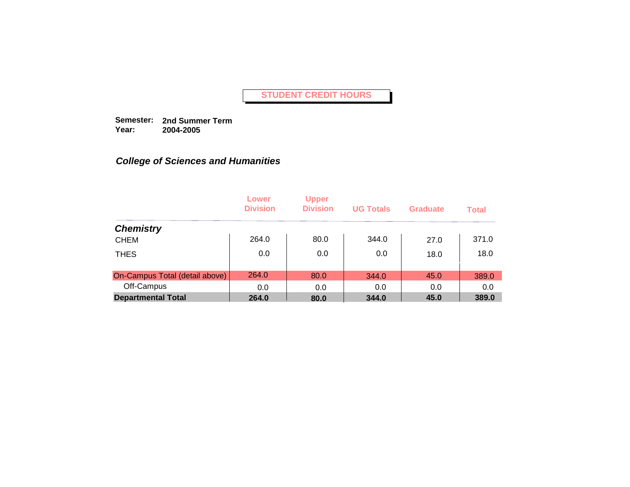**Semester: 2nd Summer Term Year: 2004-2005**

|                                | Lower<br><b>Division</b> | <b>Upper</b><br><b>Division</b> | <b>UG Totals</b> | <b>Graduate</b> | <b>Total</b> |
|--------------------------------|--------------------------|---------------------------------|------------------|-----------------|--------------|
| <b>Chemistry</b>               |                          |                                 |                  |                 |              |
| <b>CHEM</b>                    | 264.0                    | 80.0                            | 344.0            | 27.0            | 371.0        |
| <b>THES</b>                    | 0.0                      | 0.0                             | 0.0              | 18.0            | 18.0         |
| On-Campus Total (detail above) | 264.0                    | 80.0                            | 344.0            | 45.0            | 389.0        |
| Off-Campus                     | 0.0                      | 0.0                             | 0.0              | 0.0             | 0.0          |
| <b>Departmental Total</b>      | 264.0                    | 80.0                            | 344.0            | 45.0            | 389.0        |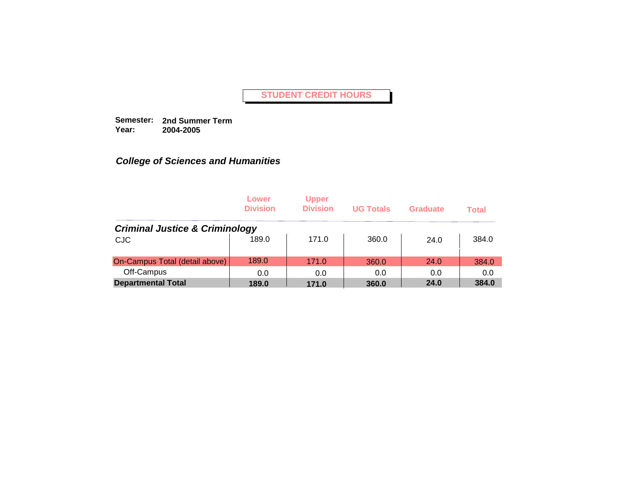**Semester: 2nd Summer Term Year: 2004-2005**

|                                           | Lower<br><b>Division</b> | <b>Upper</b><br><b>Division</b> | <b>UG Totals</b> | <b>Graduate</b> | <b>Total</b> |
|-------------------------------------------|--------------------------|---------------------------------|------------------|-----------------|--------------|
| <b>Criminal Justice &amp; Criminology</b> |                          |                                 |                  |                 |              |
| <b>CJC</b>                                | 189.0                    | 171.0                           | 360.0            | 24.0            | 384.0        |
| On-Campus Total (detail above)            | 189.0                    | 171.0                           | 360.0            | 24.0            | 384.0        |
| Off-Campus                                | 0.0                      | 0.0                             | 0.0              | 0.0             | 0.0          |
| <b>Departmental Total</b>                 | 189.0                    | 171.0                           | 360.0            | 24.0            | 384.0        |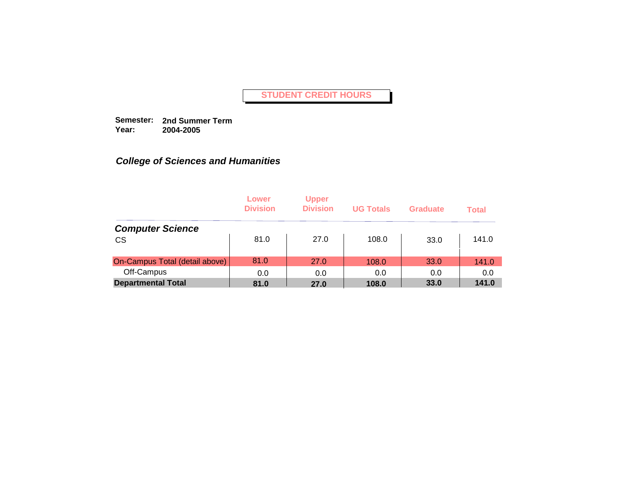**Semester: 2nd Summer Term Year: 2004-2005**

|                                | Lower<br><b>Division</b> | <b>Upper</b><br><b>Division</b> | <b>UG Totals</b> | Graduate | <b>Total</b> |
|--------------------------------|--------------------------|---------------------------------|------------------|----------|--------------|
| <b>Computer Science</b>        |                          |                                 |                  |          |              |
| <b>CS</b>                      | 81.0                     | 27.0                            | 108.0            | 33.0     | 141.0        |
| On-Campus Total (detail above) | 81.0                     | 27.0                            | 108.0            | 33.0     | 141.0        |
| Off-Campus                     | 0.0                      | 0.0                             | 0.0              | 0.0      | 0.0          |
| <b>Departmental Total</b>      | 81.0                     | 27.0                            | 108.0            | 33.0     | 141.0        |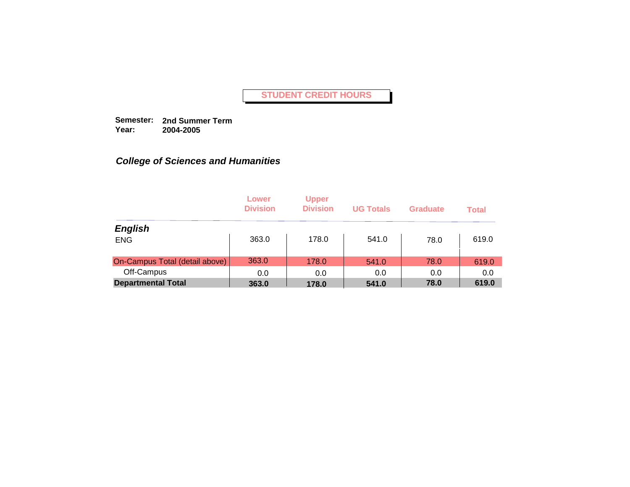**Semester: 2nd Summer Term Year: 2004-2005**

|                                | Lower<br><b>Division</b> | <b>Upper</b><br><b>Division</b> | <b>UG Totals</b> | <b>Graduate</b> | <b>Total</b> |
|--------------------------------|--------------------------|---------------------------------|------------------|-----------------|--------------|
| <b>English</b>                 |                          |                                 |                  |                 |              |
| <b>ENG</b>                     | 363.0                    | 178.0                           | 541.0            | 78.0            | 619.0        |
| On-Campus Total (detail above) | 363.0                    | 178.0                           | 541.0            | 78.0            | 619.0        |
| Off-Campus                     | 0.0                      | 0.0                             | 0.0              | 0.0             | 0.0          |
| <b>Departmental Total</b>      | 363.0                    | 178.0                           | 541.0            | 78.0            | 619.0        |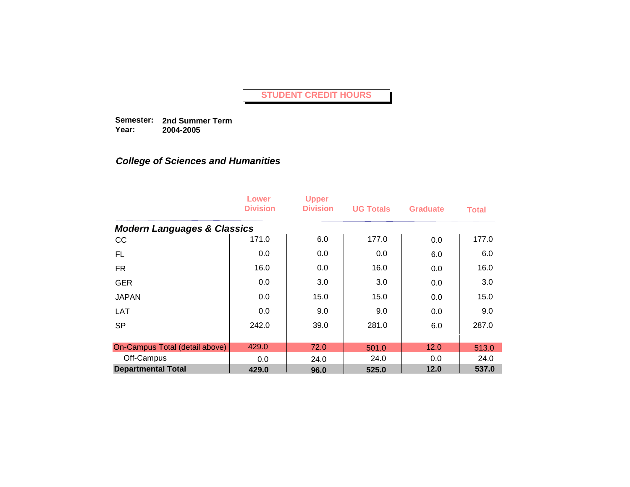**Semester: 2nd Summer Term Year: 2004-2005**

|                                        | Lower<br><b>Division</b> | <b>Upper</b><br><b>Division</b> | <b>UG Totals</b> | <b>Graduate</b> | <b>Total</b> |
|----------------------------------------|--------------------------|---------------------------------|------------------|-----------------|--------------|
| <b>Modern Languages &amp; Classics</b> |                          |                                 |                  |                 |              |
| cc                                     | 171.0                    | 6.0                             | 177.0            | 0.0             | 177.0        |
| FL.                                    | $0.0\,$                  | 0.0                             | 0.0              | 6.0             | 6.0          |
| <b>FR</b>                              | 16.0                     | 0.0                             | 16.0             | 0.0             | 16.0         |
| <b>GER</b>                             | 0.0                      | 3.0                             | 3.0              | 0.0             | 3.0          |
| <b>JAPAN</b>                           | 0.0                      | 15.0                            | 15.0             | 0.0             | 15.0         |
| LAT                                    | 0.0                      | 9.0                             | 9.0              | 0.0             | 9.0          |
| <b>SP</b>                              | 242.0                    | 39.0                            | 281.0            | 6.0             | 287.0        |
|                                        |                          |                                 |                  |                 |              |
| On-Campus Total (detail above)         | 429.0                    | 72.0                            | 501.0            | 12.0            | 513.0        |
| Off-Campus                             | 0.0                      | 24.0                            | 24.0             | 0.0             | 24.0         |
| <b>Departmental Total</b>              | 429.0                    | 96.0                            | 525.0            | 12.0            | 537.0        |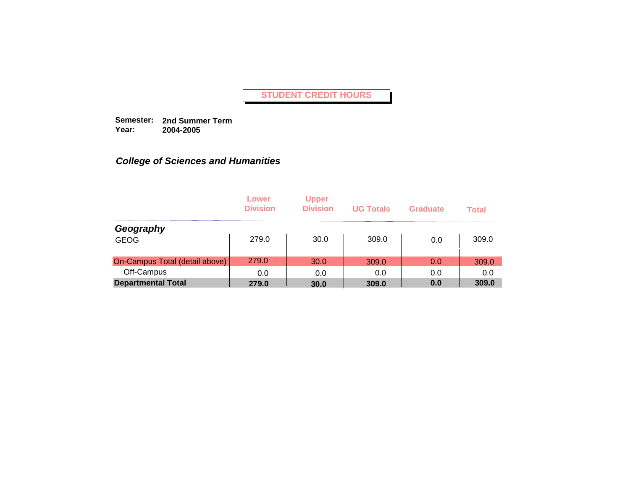**Semester: 2nd Summer Term Year: 2004-2005**

|                                | Lower<br><b>Division</b> | <b>Upper</b><br><b>Division</b> | <b>UG Totals</b> | Graduate | <b>Total</b> |
|--------------------------------|--------------------------|---------------------------------|------------------|----------|--------------|
| Geography                      |                          |                                 |                  |          |              |
| <b>GEOG</b>                    | 279.0                    | 30.0                            | 309.0            | 0.0      | 309.0        |
| On-Campus Total (detail above) | 279.0                    | 30.0                            | 309.0            | 0.0      | 309.0        |
| Off-Campus                     | 0.0                      | 0.0                             | 0.0              | 0.0      | 0.0          |
| <b>Departmental Total</b>      | 279.0                    | 30.0                            | 309.0            | 0.0      | 309.0        |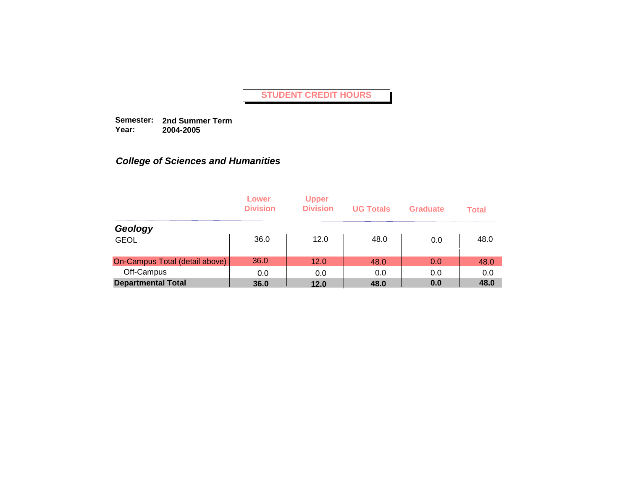**Semester: 2nd Summer Term Year: 2004-2005**

|                                | Lower<br><b>Division</b> | <b>Upper</b><br><b>Division</b> | <b>UG Totals</b> | Graduate | <b>Total</b> |
|--------------------------------|--------------------------|---------------------------------|------------------|----------|--------------|
| Geology                        |                          |                                 |                  |          |              |
| <b>GEOL</b>                    | 36.0                     | 12.0                            | 48.0             | 0.0      | 48.0         |
| On-Campus Total (detail above) | 36.0                     | 12.0                            | 48.0             | 0.0      | 48.0         |
| Off-Campus                     | 0.0                      | 0.0                             | 0.0              | 0.0      | 0.0          |
| <b>Departmental Total</b>      | 36.0                     | 12.0                            | 48.0             | 0.0      | 48.0         |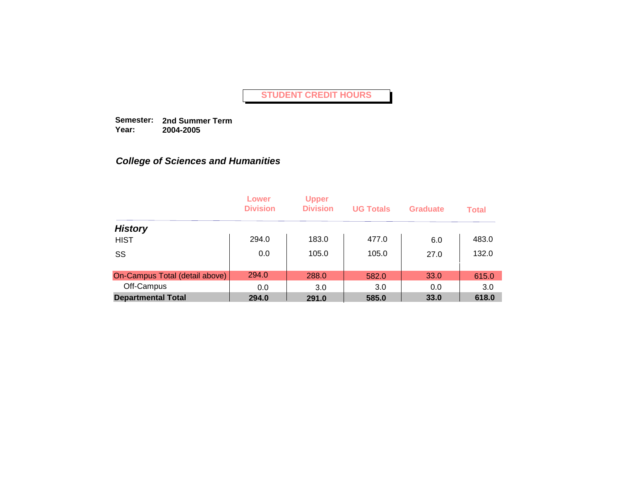**Semester: 2nd Summer Term Year: 2004-2005**

|                                | Lower<br><b>Division</b> | <b>Upper</b><br><b>Division</b> | <b>UG Totals</b> | <b>Graduate</b> | <b>Total</b> |
|--------------------------------|--------------------------|---------------------------------|------------------|-----------------|--------------|
| <b>History</b>                 |                          |                                 |                  |                 |              |
| <b>HIST</b>                    | 294.0                    | 183.0                           | 477.0            | 6.0             | 483.0        |
| SS                             | 0.0                      | 105.0                           | 105.0            | 27.0            | 132.0        |
|                                |                          |                                 |                  |                 |              |
| On-Campus Total (detail above) | 294.0                    | 288.0                           | 582.0            | 33.0            | 615.0        |
| Off-Campus                     | 0.0                      | 3.0                             | 3.0              | 0.0             | 3.0          |
| <b>Departmental Total</b>      | 294.0                    | 291.0                           | 585.0            | 33.0            | 618.0        |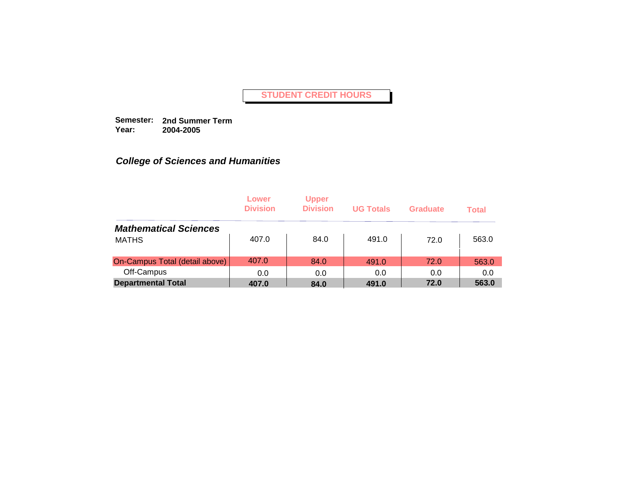**Semester: 2nd Summer Term Year: 2004-2005**

|                                | Lower<br><b>Division</b> | <b>Upper</b><br><b>Division</b> | <b>UG Totals</b> | Graduate | <b>Total</b> |
|--------------------------------|--------------------------|---------------------------------|------------------|----------|--------------|
| <b>Mathematical Sciences</b>   |                          |                                 |                  |          |              |
| <b>MATHS</b>                   | 407.0                    | 84.0                            | 491.0            | 72.0     | 563.0        |
| On-Campus Total (detail above) | 407.0                    | 84.0                            | 491.0            | 72.0     | 563.0        |
| Off-Campus                     | 0.0                      | 0.0                             | 0.0              | 0.0      | 0.0          |
| <b>Departmental Total</b>      | 407.0                    | 84.0                            | 491.0            | 72.0     | 563.0        |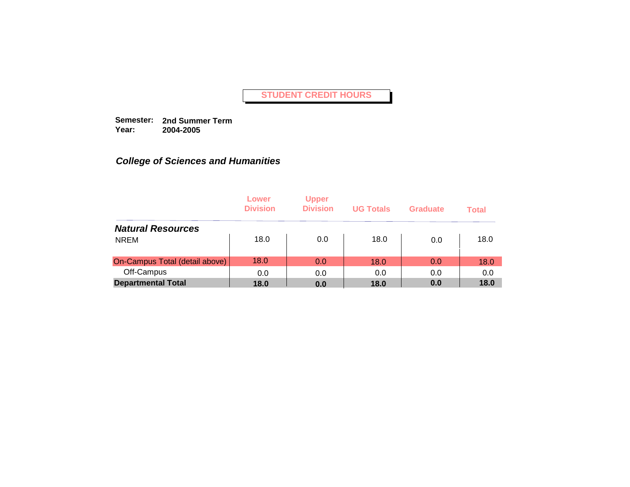**Semester: 2nd Summer Term Year: 2004-2005**

|                                | Lower<br><b>Division</b> | <b>Upper</b><br><b>Division</b> | <b>UG Totals</b> | <b>Graduate</b> | <b>Total</b> |
|--------------------------------|--------------------------|---------------------------------|------------------|-----------------|--------------|
| <b>Natural Resources</b>       |                          |                                 |                  |                 |              |
| <b>NREM</b>                    | 18.0                     | 0.0                             | 18.0             | 0.0             | 18.0         |
| On-Campus Total (detail above) | 18.0                     | 0.0                             | 18.0             | 0.0             | 18.0         |
| Off-Campus                     | 0.0                      | 0.0                             | 0.0              | 0.0             | 0.0          |
| <b>Departmental Total</b>      | 18.0                     | 0.0                             | 18.0             | 0.0             | 18.0         |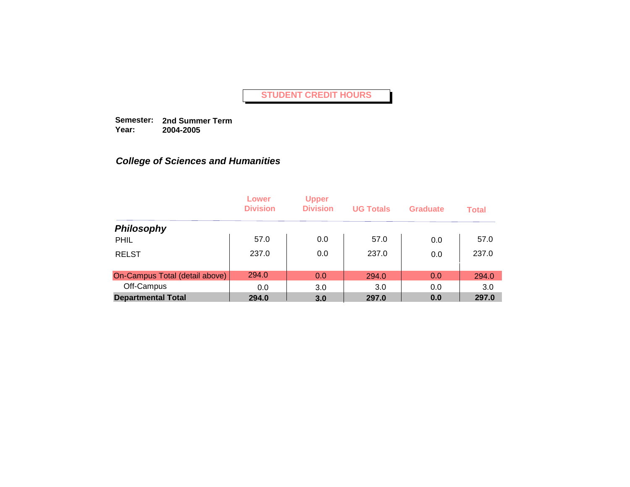**Semester: 2nd Summer Term Year: 2004-2005**

|                                | Lower<br><b>Division</b> | <b>Upper</b><br><b>Division</b> | <b>UG Totals</b> | <b>Graduate</b> | <b>Total</b> |
|--------------------------------|--------------------------|---------------------------------|------------------|-----------------|--------------|
| <b>Philosophy</b>              |                          |                                 |                  |                 |              |
| <b>PHIL</b>                    | 57.0                     | 0.0                             | 57.0             | 0.0             | 57.0         |
| <b>RELST</b>                   | 237.0                    | 0.0                             | 237.0            | 0.0             | 237.0        |
| On-Campus Total (detail above) | 294.0                    | 0.0                             | 294.0            | 0.0             | 294.0        |
| Off-Campus                     | 0.0                      | 3.0                             | 3.0              | 0.0             | 3.0          |
| <b>Departmental Total</b>      | 294.0                    | 3.0                             | 297.0            | 0.0             | 297.0        |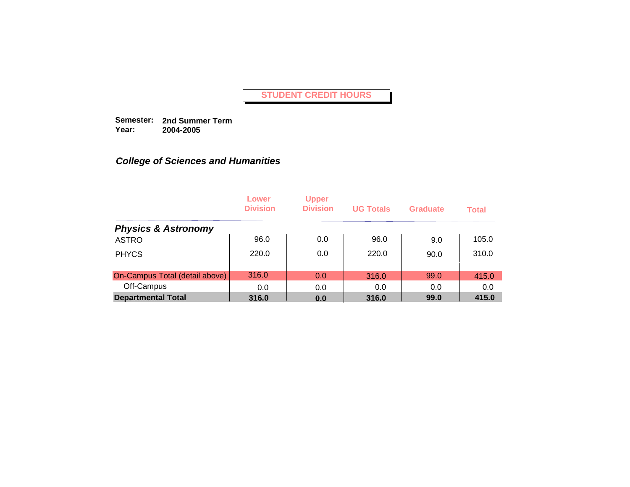**Semester: 2nd Summer Term Year: 2004-2005**

|                                | Lower<br><b>Division</b> | <b>Upper</b><br><b>Division</b> | <b>UG Totals</b> | <b>Graduate</b> | <b>Total</b> |
|--------------------------------|--------------------------|---------------------------------|------------------|-----------------|--------------|
| <b>Physics &amp; Astronomy</b> |                          |                                 |                  |                 |              |
| <b>ASTRO</b>                   | 96.0                     | 0.0                             | 96.0             | 9.0             | 105.0        |
| <b>PHYCS</b>                   | 220.0                    | 0.0                             | 220.0            | 90.0            | 310.0        |
| On-Campus Total (detail above) | 316.0                    | 0.0                             | 316.0            | 99.0            | 415.0        |
| Off-Campus                     | 0.0                      | 0.0                             | 0.0              | 0.0             | 0.0          |
| <b>Departmental Total</b>      | 316.0                    | 0.0                             | 316.0            | 99.0            | 415.0        |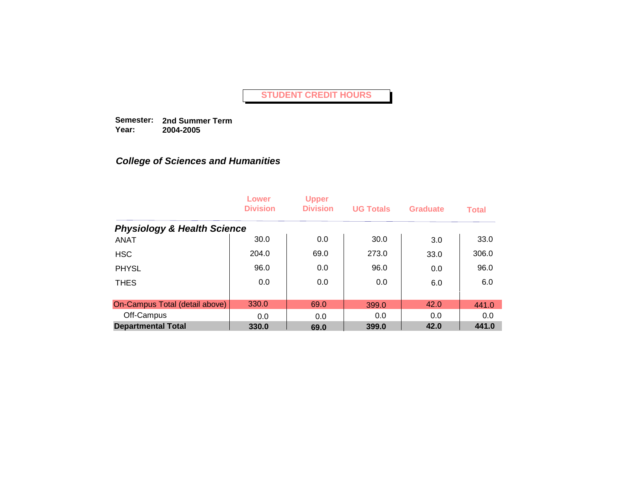**Semester: 2nd Summer Term Year: 2004-2005**

|                                        | Lower<br><b>Division</b> | <b>Upper</b><br><b>Division</b> | <b>UG Totals</b> | <b>Graduate</b> | <b>Total</b> |
|----------------------------------------|--------------------------|---------------------------------|------------------|-----------------|--------------|
| <b>Physiology &amp; Health Science</b> |                          |                                 |                  |                 |              |
| <b>ANAT</b>                            | 30.0                     | 0.0                             | 30.0             | 3.0             | 33.0         |
| <b>HSC</b>                             | 204.0                    | 69.0                            | 273.0            | 33.0            | 306.0        |
| <b>PHYSL</b>                           | 96.0                     | 0.0                             | 96.0             | 0.0             | 96.0         |
| <b>THES</b>                            | 0.0                      | 0.0                             | 0.0              | 6.0             | 6.0          |
|                                        |                          |                                 |                  |                 |              |
| On-Campus Total (detail above)         | 330.0                    | 69.0                            | 399.0            | 42.0            | 441.0        |
| Off-Campus                             | 0.0                      | 0.0                             | 0.0              | 0.0             | 0.0          |
| <b>Departmental Total</b>              | 330.0                    | 69.0                            | 399.0            | 42.0            | 441.0        |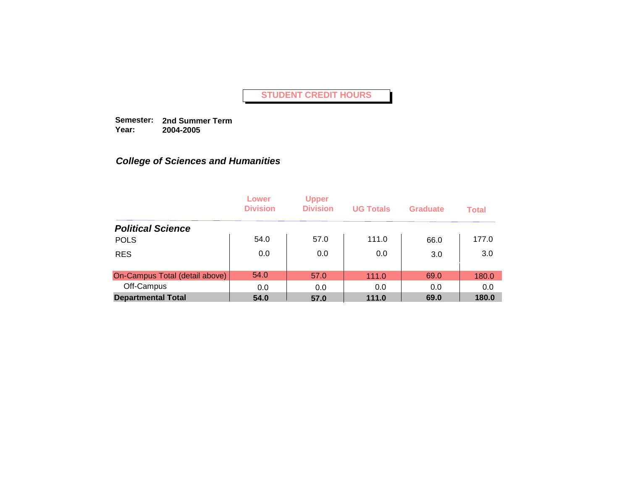**Semester: 2nd Summer Term Year: 2004-2005**

|                                | Lower<br><b>Division</b> | <b>Upper</b><br><b>Division</b> | <b>UG Totals</b> | <b>Graduate</b> | <b>Total</b> |
|--------------------------------|--------------------------|---------------------------------|------------------|-----------------|--------------|
| <b>Political Science</b>       |                          |                                 |                  |                 |              |
| <b>POLS</b>                    | 54.0                     | 57.0                            | 111.0            | 66.0            | 177.0        |
| <b>RES</b>                     | 0.0                      | 0.0                             | 0.0              | 3.0             | 3.0          |
| On-Campus Total (detail above) | 54.0                     | 57.0                            | 111.0            | 69.0            | 180.0        |
| Off-Campus                     | 0.0                      | 0.0                             | 0.0              | 0.0             | 0.0          |
| <b>Departmental Total</b>      | 54.0                     | 57.0                            | 111.0            | 69.0            | 180.0        |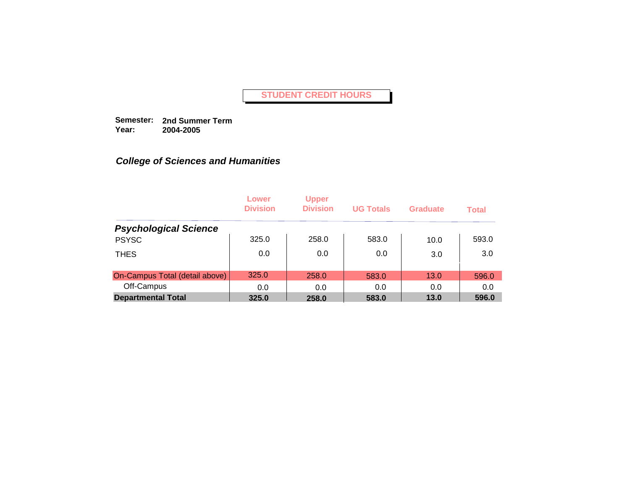**Semester: 2nd Summer Term Year: 2004-2005**

|                                | Lower<br><b>Division</b> | <b>Upper</b><br><b>Division</b> | <b>UG Totals</b> | <b>Graduate</b> | <b>Total</b> |
|--------------------------------|--------------------------|---------------------------------|------------------|-----------------|--------------|
| <b>Psychological Science</b>   |                          |                                 |                  |                 |              |
| <b>PSYSC</b>                   | 325.0                    | 258.0                           | 583.0            | 10.0            | 593.0        |
| <b>THES</b>                    | 0.0                      | 0.0                             | 0.0              | 3.0             | 3.0          |
| On-Campus Total (detail above) | 325.0                    | 258.0                           | 583.0            | 13.0            | 596.0        |
| Off-Campus                     | 0.0                      | 0.0                             | 0.0              | 0.0             | 0.0          |
| <b>Departmental Total</b>      | 325.0                    | 258.0                           | 583.0            | 13.0            | 596.0        |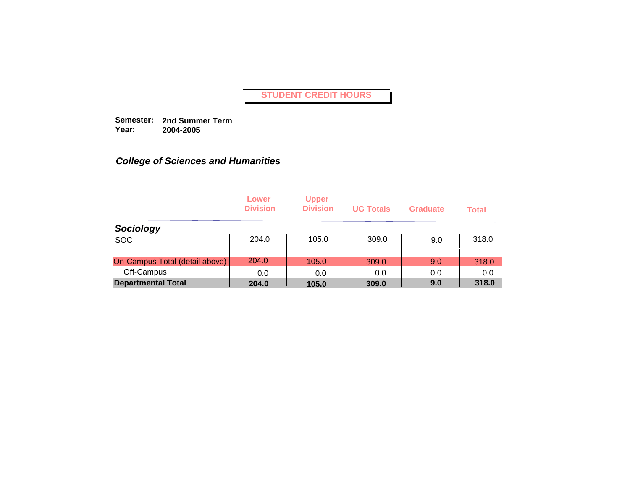**Semester: 2nd Summer Term Year: 2004-2005**

|                                | Lower<br><b>Division</b> | <b>Upper</b><br><b>Division</b> | <b>UG Totals</b> | Graduate | <b>Total</b> |
|--------------------------------|--------------------------|---------------------------------|------------------|----------|--------------|
| Sociology                      |                          |                                 |                  |          |              |
| <b>SOC</b>                     | 204.0                    | 105.0                           | 309.0            | 9.0      | 318.0        |
| On-Campus Total (detail above) | 204.0                    | 105.0                           | 309.0            | 9.0      | 318.0        |
| Off-Campus                     | 0.0                      | 0.0                             | 0.0              | 0.0      | 0.0          |
| <b>Departmental Total</b>      | 204.0                    | 105.0                           | 309.0            | 9.0      | 318.0        |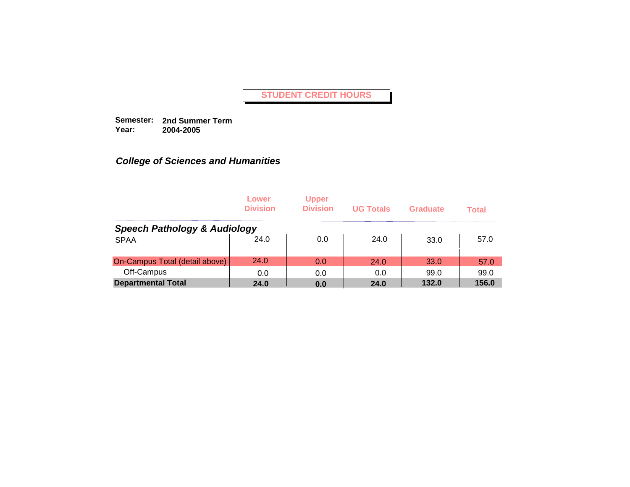**Semester: 2nd Summer Term Year: 2004-2005**

|                                         | Lower<br><b>Division</b> | <b>Upper</b><br><b>Division</b> | <b>UG Totals</b> | Graduate | <b>Total</b> |
|-----------------------------------------|--------------------------|---------------------------------|------------------|----------|--------------|
| <b>Speech Pathology &amp; Audiology</b> |                          |                                 |                  |          |              |
| <b>SPAA</b>                             | 24.0                     | 0.0                             | 24.0             | 33.0     | 57.0         |
| On-Campus Total (detail above)          | 24.0                     | 0.0                             | 24.0             | 33.0     | 57.0         |
| Off-Campus                              | 0.0                      | 0.0                             | 0.0              | 99.0     | 99.0         |
| <b>Departmental Total</b>               | 24.0                     | 0.0                             | 24.0             | 132.0    | 156.0        |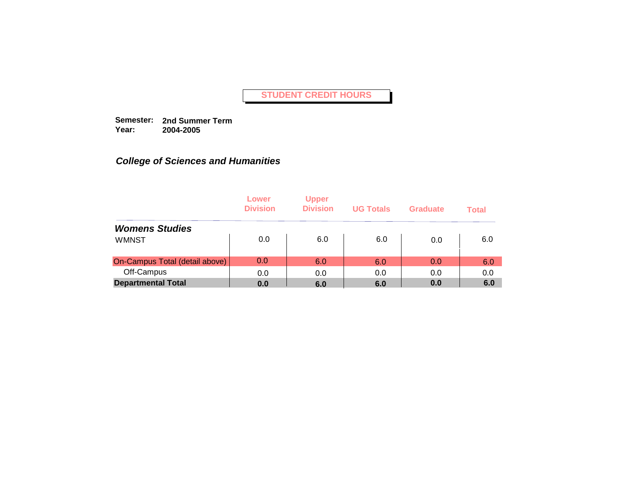**Semester: 2nd Summer Term Year: 2004-2005**

|                                | Lower<br><b>Division</b> | <b>Upper</b><br><b>Division</b> | <b>UG Totals</b> | <b>Graduate</b> | <b>Total</b> |
|--------------------------------|--------------------------|---------------------------------|------------------|-----------------|--------------|
| <b>Womens Studies</b>          |                          |                                 |                  |                 |              |
| <b>WMNST</b>                   | 0.0                      | 6.0                             | 6.0              | 0.0             | 6.0          |
| On-Campus Total (detail above) | 0.0                      | 6.0                             | 6.0              | 0.0             | 6.0          |
| Off-Campus                     | 0.0                      | 0.0                             | 0.0              | 0.0             | 0.0          |
| <b>Departmental Total</b>      | 0.0                      | 6.0                             | 6.0              | 0.0             | 6.0          |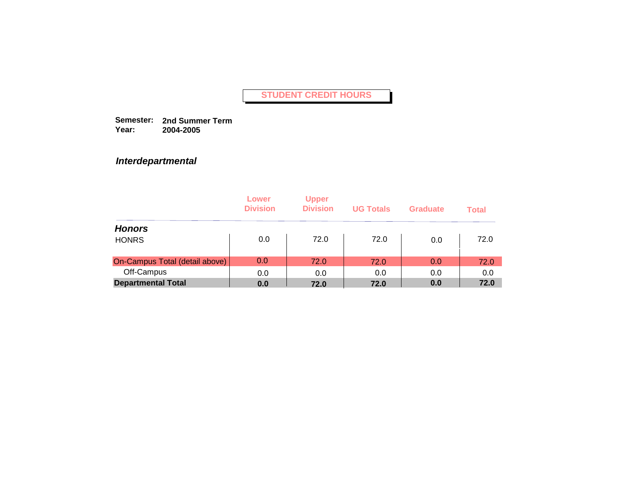**Semester: 2nd Summer Term Year: 2004-2005**

## *Interdepartmental*

|                                | Lower<br><b>Division</b> | <b>Upper</b><br><b>Division</b> | <b>UG Totals</b> | <b>Graduate</b> | <b>Total</b> |
|--------------------------------|--------------------------|---------------------------------|------------------|-----------------|--------------|
| <b>Honors</b>                  |                          |                                 |                  |                 |              |
| <b>HONRS</b>                   | 0.0                      | 72.0                            | 72.0             | 0.0             | 72.0         |
| On-Campus Total (detail above) | 0.0                      | 72.0                            | 72.0             | 0.0             | 72.0         |
| Off-Campus                     | 0.0                      | 0.0                             | 0.0              | 0.0             | 0.0          |
| <b>Departmental Total</b>      | 0.0                      | 72.0                            | 72.0             | 0.0             | 72.0         |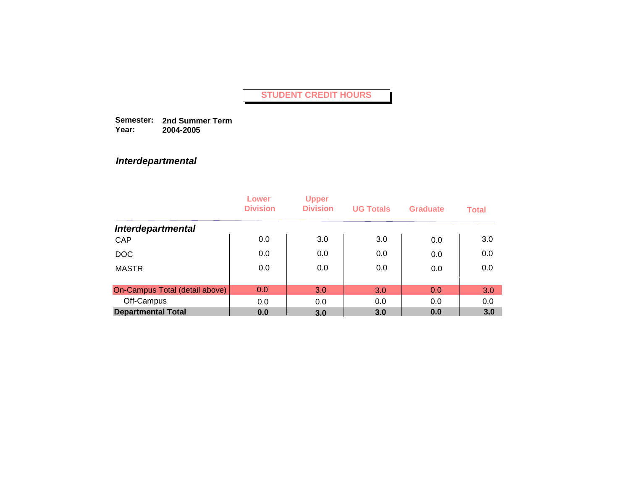**Semester: 2nd Summer Term Year: 2004-2005**

## *Interdepartmental*

|                                | Lower<br><b>Division</b> | <b>Upper</b><br><b>Division</b> | <b>UG Totals</b> | Graduate | <b>Total</b> |
|--------------------------------|--------------------------|---------------------------------|------------------|----------|--------------|
| <b>Interdepartmental</b>       |                          |                                 |                  |          |              |
| CAP                            | 0.0                      | 3.0                             | 3.0              | 0.0      | 3.0          |
| <b>DOC</b>                     | 0.0                      | 0.0                             | 0.0              | 0.0      | 0.0          |
| <b>MASTR</b>                   | 0.0                      | 0.0                             | 0.0              | 0.0      | 0.0          |
|                                |                          |                                 |                  |          |              |
| On-Campus Total (detail above) | 0.0                      | 3.0                             | 3.0              | 0.0      | 3.0          |
| Off-Campus                     | 0.0                      | 0.0                             | 0.0              | 0.0      | 0.0          |
| <b>Departmental Total</b>      | 0.0                      | 3.0                             | 3.0              | 0.0      | 3.0          |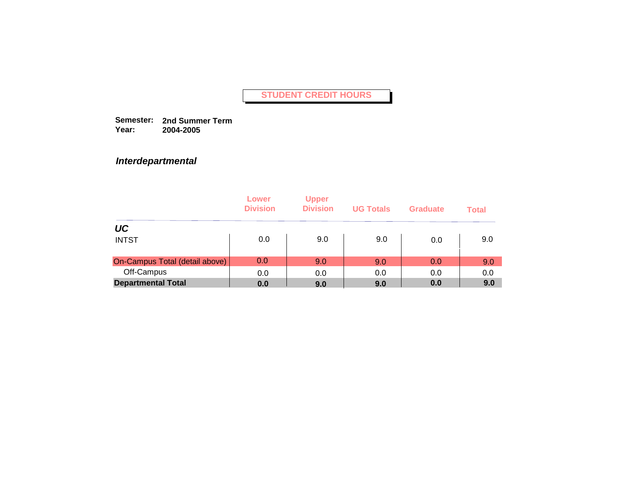**Semester: 2nd Summer Term Year: 2004-2005**

## *Interdepartmental*

|                                | Lower<br><b>Division</b> | <b>Upper</b><br><b>Division</b> | <b>UG Totals</b> | <b>Graduate</b> | <b>Total</b> |
|--------------------------------|--------------------------|---------------------------------|------------------|-----------------|--------------|
| UC                             |                          |                                 |                  |                 |              |
| <b>INTST</b>                   | 0.0                      | 9.0                             | 9.0              | 0.0             | 9.0          |
| On-Campus Total (detail above) | 0.0                      | 9.0                             | 9.0              | 0.0             | 9.0          |
| Off-Campus                     | 0.0                      | 0.0                             | 0.0              | 0.0             | 0.0          |
| <b>Departmental Total</b>      | 0.0                      | 9.0                             | 9.0              | 0.0             | 9.0          |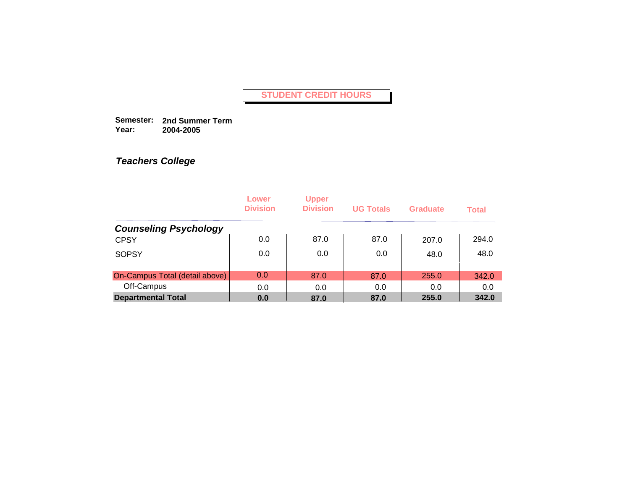**Semester: 2nd Summer Term Year: 2004-2005**

|                                | Lower<br><b>Division</b> | <b>Upper</b><br><b>Division</b> | <b>UG Totals</b> | Graduate | <b>Total</b> |
|--------------------------------|--------------------------|---------------------------------|------------------|----------|--------------|
| <b>Counseling Psychology</b>   |                          |                                 |                  |          |              |
| <b>CPSY</b>                    | 0.0                      | 87.0                            | 87.0             | 207.0    | 294.0        |
| <b>SOPSY</b>                   | 0.0                      | 0.0                             | 0.0              | 48.0     | 48.0         |
| On-Campus Total (detail above) | 0.0                      | 87.0                            | 87.0             | 255.0    | 342.0        |
| Off-Campus                     | 0.0                      | 0.0                             | 0.0              | 0.0      | 0.0          |
| <b>Departmental Total</b>      | 0.0                      | 87.0                            | 87.0             | 255.0    | 342.0        |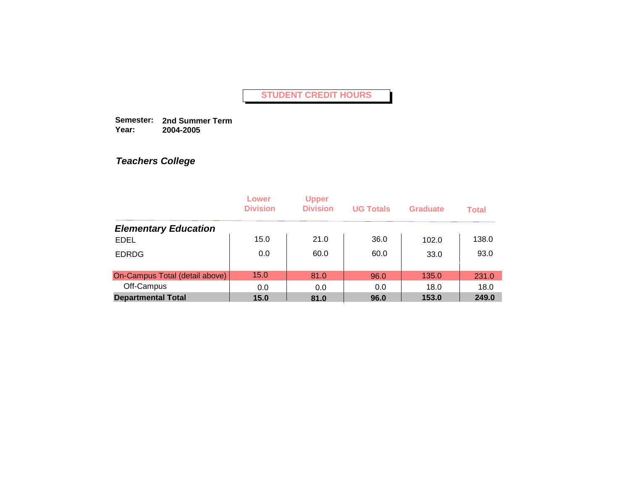**Semester: 2nd Summer Term Year: 2004-2005**

|                                | Lower<br><b>Division</b> | <b>Upper</b><br><b>Division</b> | <b>UG Totals</b> | Graduate | <b>Total</b> |
|--------------------------------|--------------------------|---------------------------------|------------------|----------|--------------|
| <b>Elementary Education</b>    |                          |                                 |                  |          |              |
| <b>EDEL</b>                    | 15.0                     | 21.0                            | 36.0             | 102.0    | 138.0        |
| <b>EDRDG</b>                   | 0.0                      | 60.0                            | 60.0             | 33.0     | 93.0         |
| On-Campus Total (detail above) | 15.0                     | 81.0                            | 96.0             | 135.0    | 231.0        |
| Off-Campus                     | 0.0                      | 0.0                             | 0.0              | 18.0     | 18.0         |
| <b>Departmental Total</b>      | 15.0                     | 81.0                            | 96.0             | 153.0    | 249.0        |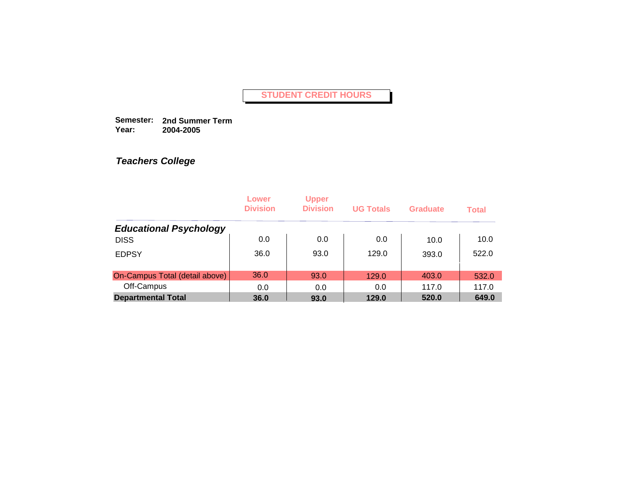**Semester: 2nd Summer Term Year: 2004-2005**

|                                | Lower<br><b>Division</b> | <b>Upper</b><br><b>Division</b> | <b>UG Totals</b> | Graduate | <b>Total</b> |
|--------------------------------|--------------------------|---------------------------------|------------------|----------|--------------|
| <b>Educational Psychology</b>  |                          |                                 |                  |          |              |
| <b>DISS</b>                    | 0.0                      | 0.0                             | 0.0              | 10.0     | 10.0         |
| <b>EDPSY</b>                   | 36.0                     | 93.0                            | 129.0            | 393.0    | 522.0        |
| On-Campus Total (detail above) | 36.0                     | 93.0                            | 129.0            | 403.0    | 532.0        |
| Off-Campus                     | 0.0                      | 0.0                             | 0.0              | 117.0    | 117.0        |
| <b>Departmental Total</b>      | 36.0                     | 93.0                            | 129.0            | 520.0    | 649.0        |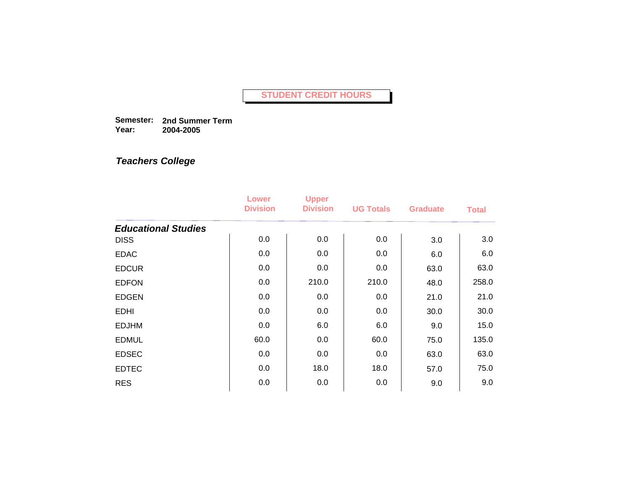**Semester: 2nd Summer Term Year: 2004-2005**

|                            | Lower<br><b>Division</b> | <b>Upper</b><br><b>Division</b> | <b>UG Totals</b> | <b>Graduate</b> | <b>Total</b> |
|----------------------------|--------------------------|---------------------------------|------------------|-----------------|--------------|
| <b>Educational Studies</b> |                          |                                 |                  |                 |              |
| <b>DISS</b>                | 0.0                      | 0.0                             | 0.0              | 3.0             | 3.0          |
| <b>EDAC</b>                | 0.0                      | 0.0                             | 0.0              | 6.0             | 6.0          |
| <b>EDCUR</b>               | 0.0                      | 0.0                             | 0.0              | 63.0            | 63.0         |
| <b>EDFON</b>               | 0.0                      | 210.0                           | 210.0            | 48.0            | 258.0        |
| <b>EDGEN</b>               | 0.0                      | 0.0                             | 0.0              | 21.0            | 21.0         |
| <b>EDHI</b>                | 0.0                      | 0.0                             | 0.0              | 30.0            | 30.0         |
| <b>EDJHM</b>               | 0.0                      | 6.0                             | 6.0              | 9.0             | 15.0         |
| <b>EDMUL</b>               | 60.0                     | 0.0                             | 60.0             | 75.0            | 135.0        |
| <b>EDSEC</b>               | 0.0                      | 0.0                             | 0.0              | 63.0            | 63.0         |
| <b>EDTEC</b>               | 0.0                      | 18.0                            | 18.0             | 57.0            | 75.0         |
| <b>RES</b>                 | 0.0                      | 0.0                             | 0.0              | 9.0             | 9.0          |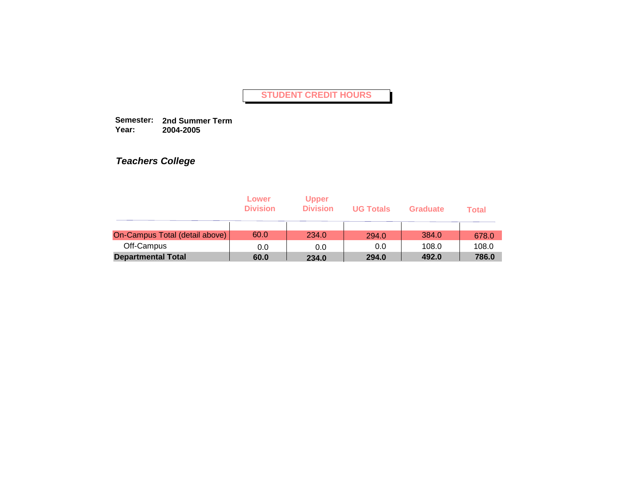**Semester: 2nd Summer Term Year: 2004-2005**

|                                | Lower<br><b>Division</b> | <b>Upper</b><br><b>Division</b> | <b>UG Totals</b> | <b>Graduate</b> | Total |
|--------------------------------|--------------------------|---------------------------------|------------------|-----------------|-------|
| On-Campus Total (detail above) | 60.0                     | 234.0                           | 294.0            | 384.0           | 678.0 |
| Off-Campus                     | 0.0                      | 0.0                             | 0.0              | 108.0           | 108.0 |
| <b>Departmental Total</b>      | 60.0                     | 234.0                           | 294.0            | 492.0           | 786.0 |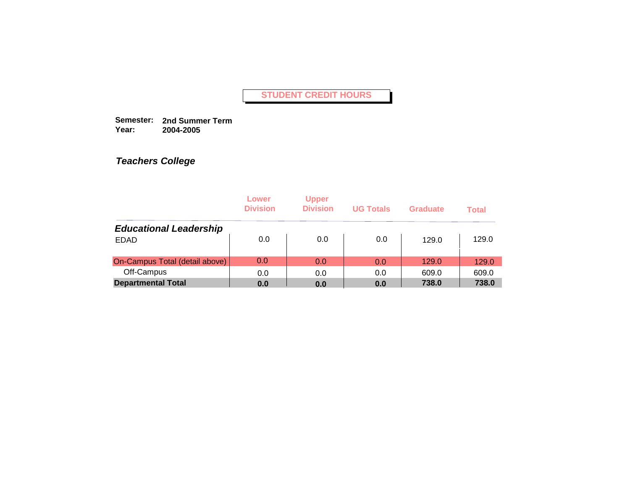**Semester: 2nd Summer Term Year: 2004-2005**

|                                | Lower<br><b>Division</b> | <b>Upper</b><br><b>Division</b> | <b>UG Totals</b> | <b>Graduate</b> | <b>Total</b> |
|--------------------------------|--------------------------|---------------------------------|------------------|-----------------|--------------|
| <b>Educational Leadership</b>  |                          |                                 |                  |                 |              |
| <b>EDAD</b>                    | 0.0                      | 0.0                             | 0.0              | 129.0           | 129.0        |
| On-Campus Total (detail above) | 0.0                      | 0.0                             | 0.0              | 129.0           | 129.0        |
| Off-Campus                     | 0.0                      | 0.0                             | 0.0              | 609.0           | 609.0        |
| <b>Departmental Total</b>      | 0.0                      | 0.0                             | 0.0              | 738.0           | 738.0        |